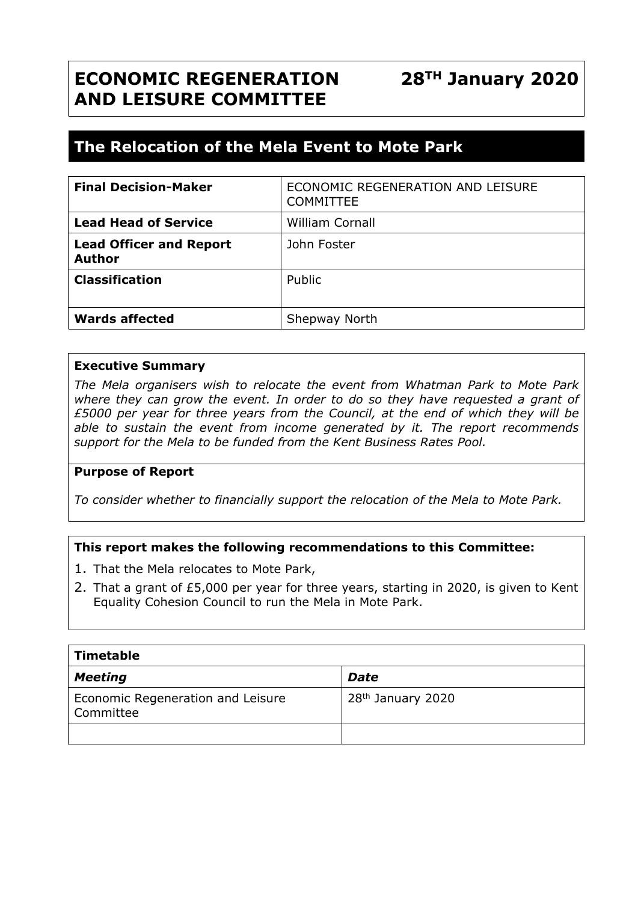# **ECONOMIC REGENERATION AND LEISURE COMMITTEE**

## **The Relocation of the Mela Event to Mote Park**

| <b>Final Decision-Maker</b>                     | ECONOMIC REGENERATION AND LEISURE<br><b>COMMITTEE</b> |
|-------------------------------------------------|-------------------------------------------------------|
| <b>Lead Head of Service</b>                     | <b>William Cornall</b>                                |
| <b>Lead Officer and Report</b><br><b>Author</b> | John Foster                                           |
| <b>Classification</b>                           | Public                                                |
| <b>Wards affected</b>                           | Shepway North                                         |

#### **Executive Summary**

*The Mela organisers wish to relocate the event from Whatman Park to Mote Park where they can grow the event. In order to do so they have requested a grant of £5000 per year for three years from the Council, at the end of which they will be able to sustain the event from income generated by it. The report recommends support for the Mela to be funded from the Kent Business Rates Pool.*

#### **Purpose of Report**

*To consider whether to financially support the relocation of the Mela to Mote Park.*

#### **This report makes the following recommendations to this Committee:**

- 1. That the Mela relocates to Mote Park,
- 2. That a grant of £5,000 per year for three years, starting in 2020, is given to Kent Equality Cohesion Council to run the Mela in Mote Park.

| Timetable                                      |                               |  |  |
|------------------------------------------------|-------------------------------|--|--|
| <b>Meeting</b>                                 | <b>Date</b>                   |  |  |
| Economic Regeneration and Leisure<br>Committee | 28 <sup>th</sup> January 2020 |  |  |
|                                                |                               |  |  |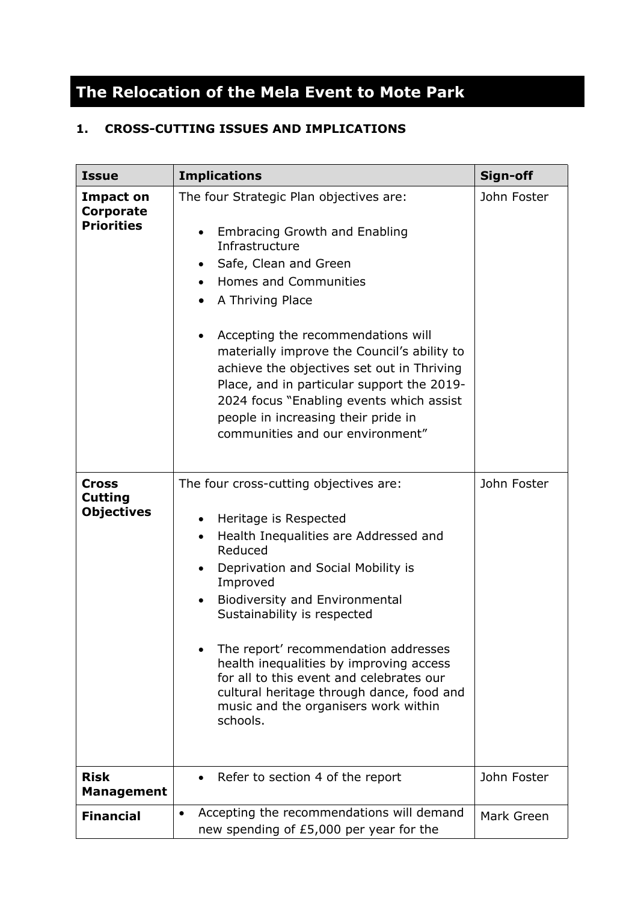# **The Relocation of the Mela Event to Mote Park**

### **1. CROSS-CUTTING ISSUES AND IMPLICATIONS**

| <b>Issue</b>                                        | <b>Implications</b>                                                                                                                                                                                                                                                                                                                                                                                                                                                                                                  | Sign-off    |
|-----------------------------------------------------|----------------------------------------------------------------------------------------------------------------------------------------------------------------------------------------------------------------------------------------------------------------------------------------------------------------------------------------------------------------------------------------------------------------------------------------------------------------------------------------------------------------------|-------------|
| <b>Impact on</b><br>Corporate<br><b>Priorities</b>  | The four Strategic Plan objectives are:<br><b>Embracing Growth and Enabling</b><br>Infrastructure<br>Safe, Clean and Green<br>٠<br><b>Homes and Communities</b><br>$\bullet$<br>A Thriving Place<br>Accepting the recommendations will<br>materially improve the Council's ability to<br>achieve the objectives set out in Thriving<br>Place, and in particular support the 2019-<br>2024 focus "Enabling events which assist<br>people in increasing their pride in<br>communities and our environment"             | John Foster |
| <b>Cross</b><br><b>Cutting</b><br><b>Objectives</b> | The four cross-cutting objectives are:<br>Heritage is Respected<br>$\bullet$<br>Health Inequalities are Addressed and<br>$\bullet$<br>Reduced<br>Deprivation and Social Mobility is<br>Improved<br><b>Biodiversity and Environmental</b><br>$\bullet$<br>Sustainability is respected<br>The report' recommendation addresses<br>health inequalities by improving access<br>for all to this event and celebrates our<br>cultural heritage through dance, food and<br>music and the organisers work within<br>schools. | John Foster |
| <b>Risk</b><br><b>Management</b>                    | Refer to section 4 of the report                                                                                                                                                                                                                                                                                                                                                                                                                                                                                     | John Foster |
| <b>Financial</b>                                    | Accepting the recommendations will demand<br>٠<br>new spending of £5,000 per year for the                                                                                                                                                                                                                                                                                                                                                                                                                            | Mark Green  |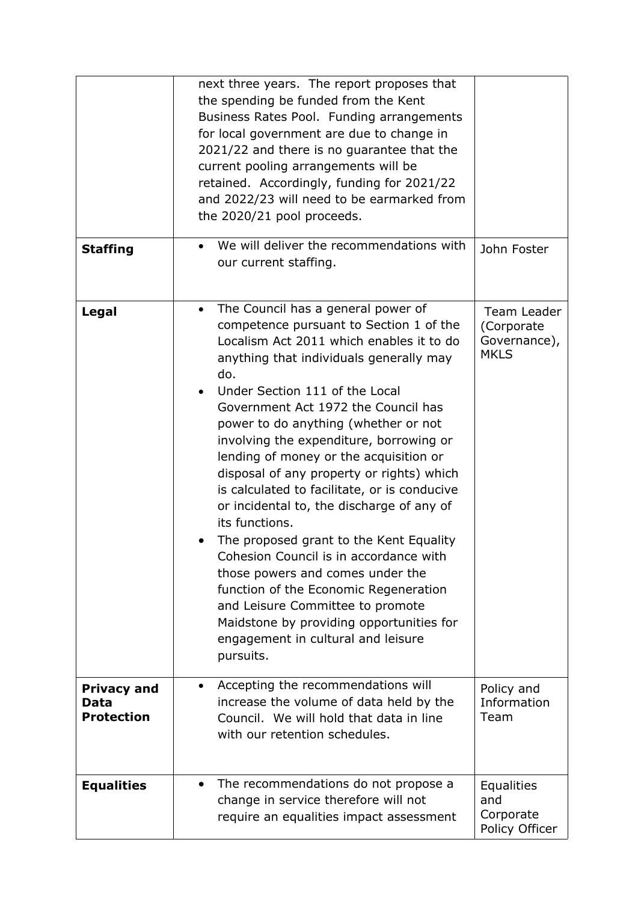|                                                 | next three years. The report proposes that<br>the spending be funded from the Kent<br>Business Rates Pool. Funding arrangements<br>for local government are due to change in<br>2021/22 and there is no guarantee that the<br>current pooling arrangements will be<br>retained. Accordingly, funding for 2021/22<br>and 2022/23 will need to be earmarked from<br>the 2020/21 pool proceeds.                                                                                                                                                                                                                                                                                                                                                                                                                                                                    |                                                          |
|-------------------------------------------------|-----------------------------------------------------------------------------------------------------------------------------------------------------------------------------------------------------------------------------------------------------------------------------------------------------------------------------------------------------------------------------------------------------------------------------------------------------------------------------------------------------------------------------------------------------------------------------------------------------------------------------------------------------------------------------------------------------------------------------------------------------------------------------------------------------------------------------------------------------------------|----------------------------------------------------------|
| <b>Staffing</b>                                 | We will deliver the recommendations with<br>our current staffing.                                                                                                                                                                                                                                                                                                                                                                                                                                                                                                                                                                                                                                                                                                                                                                                               | John Foster                                              |
| Legal                                           | The Council has a general power of<br>$\bullet$<br>competence pursuant to Section 1 of the<br>Localism Act 2011 which enables it to do<br>anything that individuals generally may<br>do.<br>Under Section 111 of the Local<br>Government Act 1972 the Council has<br>power to do anything (whether or not<br>involving the expenditure, borrowing or<br>lending of money or the acquisition or<br>disposal of any property or rights) which<br>is calculated to facilitate, or is conducive<br>or incidental to, the discharge of any of<br>its functions.<br>The proposed grant to the Kent Equality<br>Cohesion Council is in accordance with<br>those powers and comes under the<br>function of the Economic Regeneration<br>and Leisure Committee to promote<br>Maidstone by providing opportunities for<br>engagement in cultural and leisure<br>pursuits. | Team Leader<br>(Corporate<br>Governance),<br><b>MKLS</b> |
| <b>Privacy and</b><br>Data<br><b>Protection</b> | Accepting the recommendations will<br>increase the volume of data held by the<br>Council. We will hold that data in line<br>with our retention schedules.                                                                                                                                                                                                                                                                                                                                                                                                                                                                                                                                                                                                                                                                                                       | Policy and<br>Information<br>Team                        |
| <b>Equalities</b>                               | The recommendations do not propose a<br>change in service therefore will not<br>require an equalities impact assessment                                                                                                                                                                                                                                                                                                                                                                                                                                                                                                                                                                                                                                                                                                                                         | <b>Equalities</b><br>and<br>Corporate<br>Policy Officer  |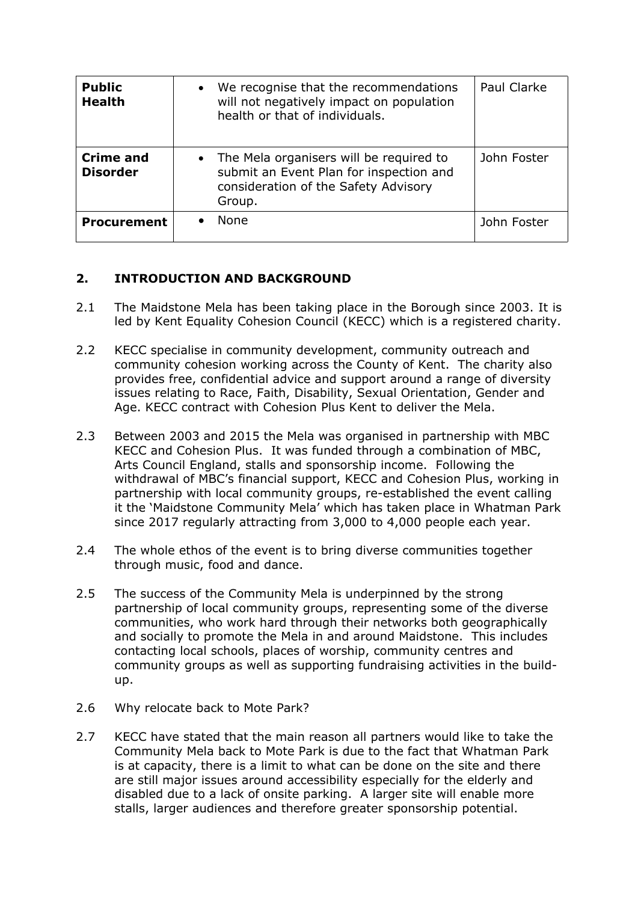| <b>Public</b><br><b>Health</b>      | We recognise that the recommendations<br>will not negatively impact on population<br>health or that of individuals.                    | <b>Paul Clarke</b> |
|-------------------------------------|----------------------------------------------------------------------------------------------------------------------------------------|--------------------|
| <b>Crime and</b><br><b>Disorder</b> | • The Mela organisers will be required to<br>submit an Event Plan for inspection and<br>consideration of the Safety Advisory<br>Group. | John Foster        |
| <b>Procurement</b>                  | <b>None</b>                                                                                                                            | John Foster        |

### **2. INTRODUCTION AND BACKGROUND**

- 2.1 The Maidstone Mela has been taking place in the Borough since 2003. It is led by Kent Equality Cohesion Council (KECC) which is a registered charity.
- 2.2 KECC specialise in community development, community outreach and community cohesion working across the County of Kent. The charity also provides free, confidential advice and support around a range of diversity issues relating to Race, Faith, Disability, Sexual Orientation, Gender and Age. KECC contract with Cohesion Plus Kent to deliver the Mela.
- 2.3 Between 2003 and 2015 the Mela was organised in partnership with MBC KECC and Cohesion Plus. It was funded through a combination of MBC, Arts Council England, stalls and sponsorship income. Following the withdrawal of MBC's financial support, KECC and Cohesion Plus, working in partnership with local community groups, re-established the event calling it the 'Maidstone Community Mela' which has taken place in Whatman Park since 2017 regularly attracting from 3,000 to 4,000 people each year.
- 2.4 The whole ethos of the event is to bring diverse communities together through music, food and dance.
- 2.5 The success of the Community Mela is underpinned by the strong partnership of local community groups, representing some of the diverse communities, who work hard through their networks both geographically and socially to promote the Mela in and around Maidstone. This includes contacting local schools, places of worship, community centres and community groups as well as supporting fundraising activities in the buildup.
- 2.6 Why relocate back to Mote Park?
- 2.7 KECC have stated that the main reason all partners would like to take the Community Mela back to Mote Park is due to the fact that Whatman Park is at capacity, there is a limit to what can be done on the site and there are still major issues around accessibility especially for the elderly and disabled due to a lack of onsite parking. A larger site will enable more stalls, larger audiences and therefore greater sponsorship potential.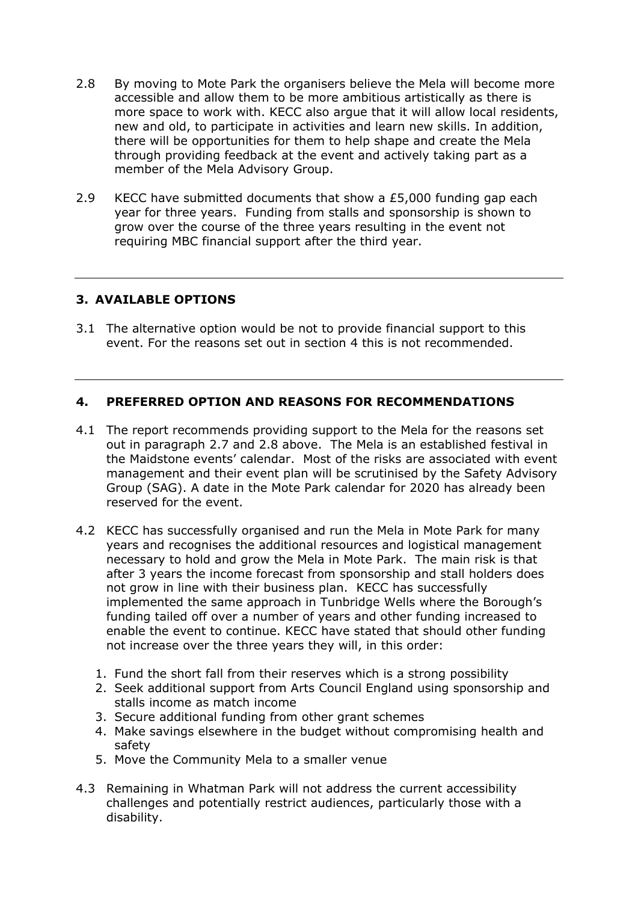- 2.8 By moving to Mote Park the organisers believe the Mela will become more accessible and allow them to be more ambitious artistically as there is more space to work with. KECC also argue that it will allow local residents, new and old, to participate in activities and learn new skills. In addition, there will be opportunities for them to help shape and create the Mela through providing feedback at the event and actively taking part as a member of the Mela Advisory Group.
- 2.9 KECC have submitted documents that show a £5,000 funding gap each year for three years. Funding from stalls and sponsorship is shown to grow over the course of the three years resulting in the event not requiring MBC financial support after the third year.

#### **3. AVAILABLE OPTIONS**

3.1 The alternative option would be not to provide financial support to this event. For the reasons set out in section 4 this is not recommended.

#### **4. PREFERRED OPTION AND REASONS FOR RECOMMENDATIONS**

- 4.1 The report recommends providing support to the Mela for the reasons set out in paragraph 2.7 and 2.8 above. The Mela is an established festival in the Maidstone events' calendar. Most of the risks are associated with event management and their event plan will be scrutinised by the Safety Advisory Group (SAG). A date in the Mote Park calendar for 2020 has already been reserved for the event.
- 4.2 KECC has successfully organised and run the Mela in Mote Park for many years and recognises the additional resources and logistical management necessary to hold and grow the Mela in Mote Park. The main risk is that after 3 years the income forecast from sponsorship and stall holders does not grow in line with their business plan. KECC has successfully implemented the same approach in Tunbridge Wells where the Borough's funding tailed off over a number of years and other funding increased to enable the event to continue. KECC have stated that should other funding not increase over the three years they will, in this order:
	- 1. Fund the short fall from their reserves which is a strong possibility
	- 2. Seek additional support from Arts Council England using sponsorship and stalls income as match income
	- 3. Secure additional funding from other grant schemes
	- 4. Make savings elsewhere in the budget without compromising health and safety
	- 5. Move the Community Mela to a smaller venue
- 4.3 Remaining in Whatman Park will not address the current accessibility challenges and potentially restrict audiences, particularly those with a disability.